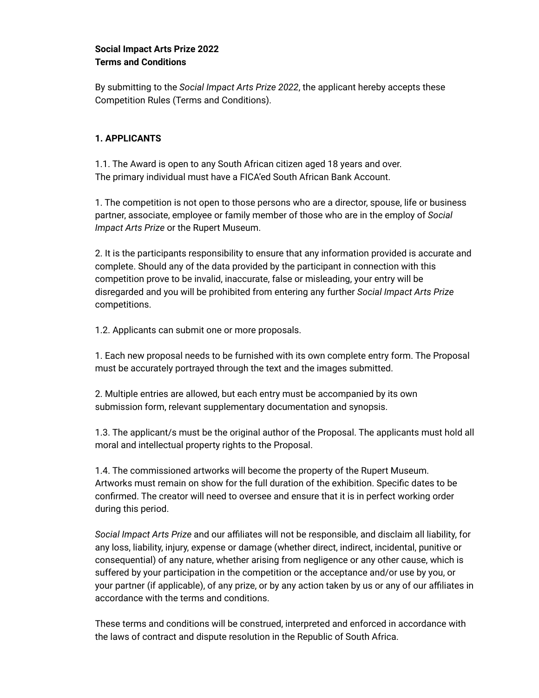# **Social Impact Arts Prize 2022 Terms and Conditions**

By submitting to the *Social Impact Arts Prize 2022*, the applicant hereby accepts these Competition Rules (Terms and Conditions).

# **1. APPLICANTS**

1.1. The Award is open to any South African citizen aged 18 years and over. The primary individual must have a FICA'ed South African Bank Account.

1. The competition is not open to those persons who are a director, spouse, life or business partner, associate, employee or family member of those who are in the employ of *Social Impact Arts Prize* or the Rupert Museum.

2. It is the participants responsibility to ensure that any information provided is accurate and complete. Should any of the data provided by the participant in connection with this competition prove to be invalid, inaccurate, false or misleading, your entry will be disregarded and you will be prohibited from entering any further *Social Impact Arts Prize* competitions.

1.2. Applicants can submit one or more proposals.

1. Each new proposal needs to be furnished with its own complete entry form. The Proposal must be accurately portrayed through the text and the images submitted.

2. Multiple entries are allowed, but each entry must be accompanied by its own submission form, relevant supplementary documentation and synopsis.

1.3. The applicant/s must be the original author of the Proposal. The applicants must hold all moral and intellectual property rights to the Proposal.

1.4. The commissioned artworks will become the property of the Rupert Museum. Artworks must remain on show for the full duration of the exhibition. Specific dates to be confirmed. The creator will need to oversee and ensure that it is in perfect working order during this period.

*Social Impact Arts Prize* and our affiliates will not be responsible, and disclaim all liability, for any loss, liability, injury, expense or damage (whether direct, indirect, incidental, punitive or consequential) of any nature, whether arising from negligence or any other cause, which is suffered by your participation in the competition or the acceptance and/or use by you, or your partner (if applicable), of any prize, or by any action taken by us or any of our affiliates in accordance with the terms and conditions.

These terms and conditions will be construed, interpreted and enforced in accordance with the laws of contract and dispute resolution in the Republic of South Africa.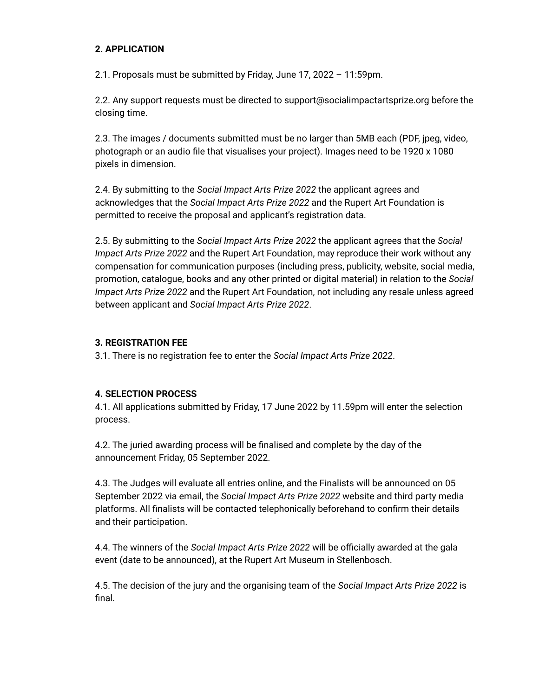### **2. APPLICATION**

2.1. Proposals must be submitted by Friday, June 17, 2022 – 11:59pm.

2.2. Any support requests must be directed to support@socialimpactartsprize.org before the closing time.

2.3. The images / documents submitted must be no larger than 5MB each (PDF, jpeg, video, photograph or an audio file that visualises your project). Images need to be 1920 x 1080 pixels in dimension.

2.4. By submitting to the *Social Impact Arts Prize 2022* the applicant agrees and acknowledges that the *Social Impact Arts Prize 2022* and the Rupert Art Foundation is permitted to receive the proposal and applicant's registration data.

2.5. By submitting to the *Social Impact Arts Prize 2022* the applicant agrees that the *Social Impact Arts Prize 2022* and the Rupert Art Foundation, may reproduce their work without any compensation for communication purposes (including press, publicity, website, social media, promotion, catalogue, books and any other printed or digital material) in relation to the *Social Impact Arts Prize 2022* and the Rupert Art Foundation, not including any resale unless agreed between applicant and *Social Impact Arts Prize 2022*.

#### **3. REGISTRATION FEE**

3.1. There is no registration fee to enter the *Social Impact Arts Prize 2022*.

#### **4. SELECTION PROCESS**

4.1. All applications submitted by Friday, 17 June 2022 by 11.59pm will enter the selection process.

4.2. The juried awarding process will be finalised and complete by the day of the announcement Friday, 05 September 2022.

4.3. The Judges will evaluate all entries online, and the Finalists will be announced on 05 September 2022 via email, the *Social Impact Arts Prize 2022* website and third party media platforms. All finalists will be contacted telephonically beforehand to confirm their details and their participation.

4.4. The winners of the *Social Impact Arts Prize 2022* will be officially awarded at the gala event (date to be announced), at the Rupert Art Museum in Stellenbosch.

4.5. The decision of the jury and the organising team of the *Social Impact Arts Prize 2022* is final.